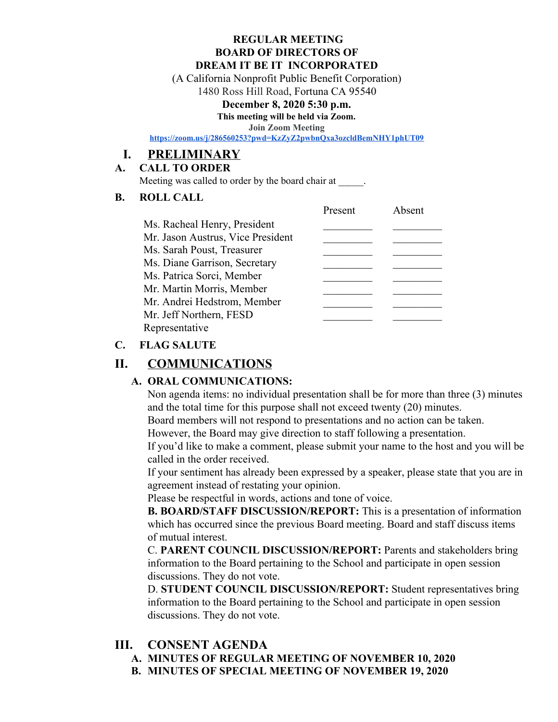#### **REGULAR MEETING BOARD OF DIRECTORS OF DREAM IT BE IT INCORPORATED**

(A California Nonprofit Public Benefit Corporation)

1480 Ross Hill Road, Fortuna CA 95540

#### **December 8, 2020 5:30 p.m.**

**This meeting will be held via Zoom.**

**Join Zoom Meeting**

**<https://zoom.us/j/286560253?pwd=KzZyZ2pwbnQxa3ozcldBemNHY1phUT09>**

# **I. PRELIMINARY**

#### **A. CALL TO ORDER**

Meeting was called to order by the board chair at  $\qquad \qquad$ .

#### **B. ROLL CALL**

|                                   | Present | Absent |
|-----------------------------------|---------|--------|
| Ms. Racheal Henry, President      |         |        |
| Mr. Jason Austrus, Vice President |         |        |
| Ms. Sarah Poust, Treasurer        |         |        |
| Ms. Diane Garrison, Secretary     |         |        |
| Ms. Patrica Sorci, Member         |         |        |
| Mr. Martin Morris, Member         |         |        |
| Mr. Andrei Hedstrom, Member       |         |        |
| Mr. Jeff Northern, FESD           |         |        |
| Representative                    |         |        |

### **C. FLAG SALUTE**

# **II. COMMUNICATIONS**

## **A. ORAL COMMUNICATIONS:**

Non agenda items: no individual presentation shall be for more than three (3) minutes and the total time for this purpose shall not exceed twenty (20) minutes.

Board members will not respond to presentations and no action can be taken.

However, the Board may give direction to staff following a presentation.

If you'd like to make a comment, please submit your name to the host and you will be called in the order received.

If your sentiment has already been expressed by a speaker, please state that you are in agreement instead of restating your opinion.

Please be respectful in words, actions and tone of voice.

**B. BOARD/STAFF DISCUSSION/REPORT:** This is a presentation of information which has occurred since the previous Board meeting. Board and staff discuss items of mutual interest.

C. **PARENT COUNCIL DISCUSSION/REPORT:** Parents and stakeholders bring information to the Board pertaining to the School and participate in open session discussions. They do not vote.

D. **STUDENT COUNCIL DISCUSSION/REPORT:** Student representatives bring information to the Board pertaining to the School and participate in open session discussions. They do not vote.

# **III. CONSENT AGENDA**

- **A. MINUTES OF REGULAR MEETING OF NOVEMBER 10, 2020**
- **B. MINUTES OF SPECIAL MEETING OF NOVEMBER 19, 2020**